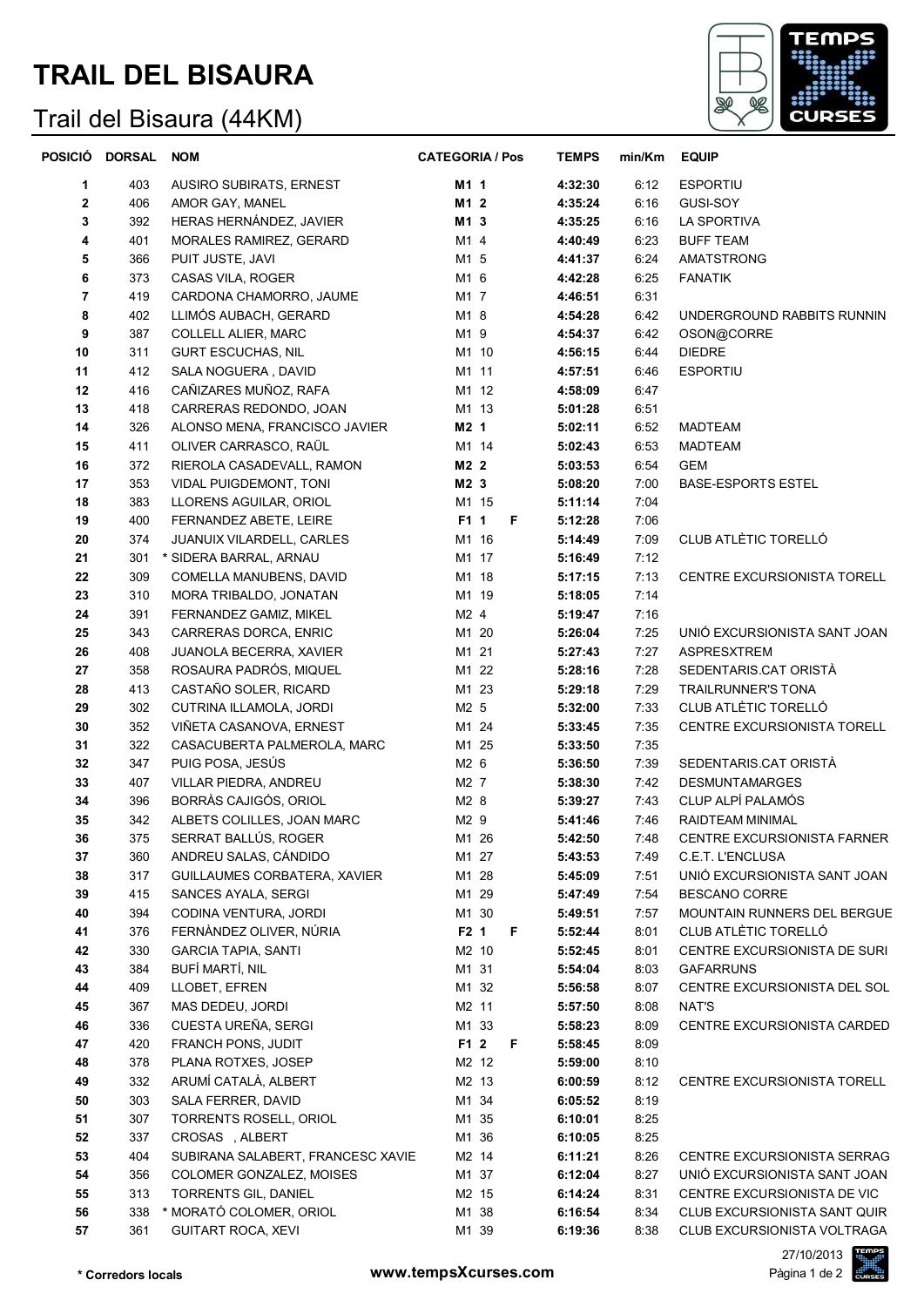## **TRAIL DEL BISAURA**

## Trail del Bisaura (44KM)



| POSICIÓ        | <b>DORSAL</b> | <b>NOM</b>                                          | <b>CATEGORIA / Pos</b> | <b>TEMPS</b>       | min/Km       | <b>EQUIP</b>                                         |
|----------------|---------------|-----------------------------------------------------|------------------------|--------------------|--------------|------------------------------------------------------|
| 1              | 403           | AUSIRO SUBIRATS, ERNEST                             | M1 1                   | 4:32:30            | 6:12         | <b>ESPORTIU</b>                                      |
| 2              | 406           | AMOR GAY, MANEL                                     | M1 2                   | 4:35:24            | 6:16         | GUSI-SOY                                             |
| 3              | 392           | HERAS HERNÁNDEZ, JAVIER                             | M1 3                   | 4:35:25            | 6:16         | <b>LA SPORTIVA</b>                                   |
| 4              | 401           | MORALES RAMIREZ, GERARD                             | M1 4                   | 4:40:49            | 6:23         | <b>BUFF TEAM</b>                                     |
| 5              | 366           | PUIT JUSTE, JAVI                                    | M1 5                   | 4:41:37            | 6:24         | AMATSTRONG                                           |
| 6              | 373           | CASAS VILA, ROGER                                   | M1 6                   | 4:42:28            | 6:25         | <b>FANATIK</b>                                       |
| $\overline{7}$ | 419           | CARDONA CHAMORRO, JAUME                             | M1 7                   | 4:46:51            | 6:31         |                                                      |
| 8              | 402           | LLIMÓS AUBACH, GERARD                               | M1 8                   | 4:54:28            | 6:42         | UNDERGROUND RABBITS RUNNIN                           |
| 9              | 387           | <b>COLLELL ALIER, MARC</b>                          | M1 9                   | 4:54:37            | 6:42         | OSON@CORRE                                           |
| 10             | 311           | <b>GURT ESCUCHAS, NIL</b>                           | M1 10                  | 4:56:15            | 6:44         | <b>DIEDRE</b>                                        |
| 11             | 412           | SALA NOGUERA, DAVID                                 | M1 11                  | 4:57:51            | 6:46         | <b>ESPORTIU</b>                                      |
| 12             | 416           | CAÑIZARES MUÑOZ, RAFA                               | M1 12                  | 4:58:09            | 6:47         |                                                      |
| 13             | 418           | CARRERAS REDONDO, JOAN                              | M1 13                  | 5:01:28            | 6:51         |                                                      |
| 14             | 326           | ALONSO MENA, FRANCISCO JAVIER                       | M2 1                   | 5:02:11            | 6:52         | <b>MADTEAM</b>                                       |
| 15             | 411           | OLIVER CARRASCO, RAÜL                               | M1 14                  | 5:02:43            | 6:53         | <b>MADTEAM</b>                                       |
| 16             | 372           | RIEROLA CASADEVALL, RAMON                           | M2 2                   | 5:03:53            | 6:54         | GEM                                                  |
| 17             | 353           | VIDAL PUIGDEMONT, TONI                              | M2 3                   | 5:08:20            | 7:00         | <b>BASE-ESPORTS ESTEL</b>                            |
| 18             | 383           | LLORENS AGUILAR, ORIOL                              | M1 15                  | 5:11:14            | 7:04         |                                                      |
| 19             | 400           | FERNANDEZ ABETE, LEIRE                              | F1 1<br>F.             | 5:12:28            | 7:06         |                                                      |
| 20             | 374           | JUANUIX VILARDELL, CARLES                           | M1 16                  | 5:14:49            | 7:09         | CLUB ATLÈTIC TORELLÓ                                 |
| 21             | 301           | * SIDERA BARRAL, ARNAU                              | M1 17                  | 5:16:49            | 7:12         |                                                      |
| 22             | 309           | COMELLA MANUBENS, DAVID                             | M1 18                  | 5:17:15            | 7:13         | CENTRE EXCURSIONISTA TORELL                          |
| 23             | 310           | MORA TRIBALDO, JONATAN                              | M1 19                  | 5:18:05            | 7:14         |                                                      |
| 24             | 391           | FERNANDEZ GAMIZ, MIKEL                              | M2 4                   | 5:19:47            | 7:16         |                                                      |
| 25             | 343           | CARRERAS DORCA, ENRIC                               | M1 20                  | 5:26:04            | 7:25         | UNIÓ EXCURSIONISTA SANT JOAN                         |
| 26             | 408           | <b>JUANOLA BECERRA, XAVIER</b>                      | M1 21                  | 5:27:43            | 7:27         | <b>ASPRESXTREM</b>                                   |
| 27             | 358           | ROSAURA PADRÓS, MIQUEL                              | M1 22                  | 5:28:16            | 7:28         | SEDENTARIS.CAT ORISTÀ                                |
| 28             | 413           | CASTAÑO SOLER, RICARD                               | M1 23                  | 5:29:18            | 7:29         | <b>TRAILRUNNER'S TONA</b>                            |
| 29             | 302           | CUTRINA ILLAMOLA, JORDI                             | M2 5                   | 5:32:00            | 7:33         | CLUB ATLÈTIC TORELLÓ                                 |
| 30             | 352           | VIÑETA CASANOVA, ERNEST                             | M1 24                  | 5:33:45            | 7:35         | CENTRE EXCURSIONISTA TORELL                          |
| 31             | 322           | CASACUBERTA PALMEROLA, MARC                         | M1 25                  | 5:33:50            | 7:35         |                                                      |
| 32             | 347           | PUIG POSA, JESÚS                                    | M2 6                   | 5:36:50            | 7:39         | SEDENTARIS CAT ORISTA                                |
| 33             | 407           | VILLAR PIEDRA, ANDREU                               | M2 7                   | 5:38:30            | 7:42         | <b>DESMUNTAMARGES</b>                                |
| 34             | 396           | BORRÀS CAJIGÓS, ORIOL                               | M2 8                   | 5:39:27            | 7:43         | CLUP ALPÍ PALAMÓS                                    |
| 35             | 342           | ALBETS COLILLES, JOAN MARC                          | M2 9                   | 5:41:46            | 7:46         | RAIDTEAM MINIMAL                                     |
| 36             | 375           | SERRAT BALLÚS, ROGER                                | M1 26                  | 5:42:50            | 7:48         | CENTRE EXCURSIONISTA FARNER                          |
| 37             | 360           | ANDREU SALAS, CÁNDIDO                               | M1 27                  | 5:43:53            | 7:49         | C.E.T. L'ENCLUSA                                     |
| 38<br>39       | 317<br>415    | GUILLAUMES CORBATERA, XAVIER<br>SANCES AYALA, SERGI | M1 28<br>M1 29         | 5:45:09            | 7:51<br>7:54 | UNIÓ EXCURSIONISTA SANT JOAN<br><b>BESCANO CORRE</b> |
| 40             | 394           | CODINA VENTURA, JORDI                               | M1 30                  | 5:47:49<br>5:49:51 | 7:57         | MOUNTAIN RUNNERS DEL BERGUE                          |
| 41             | 376           | FERNÀNDEZ OLIVER, NÚRIA                             | F <sub>2</sub> 1<br>F. | 5:52:44            | 8:01         | CLUB ATLÈTIC TORELLÓ                                 |
| 42             | 330           | <b>GARCIA TAPIA, SANTI</b>                          | M2 10                  | 5:52:45            | 8:01         | CENTRE EXCURSIONISTA DE SURI                         |
| 43             | 384           | BUFÍ MARTÍ, NIL                                     | M1 31                  | 5:54:04            | 8:03         | <b>GAFARRUNS</b>                                     |
| 44             | 409           | LLOBET, EFREN                                       | M1 32                  | 5:56:58            | 8:07         | CENTRE EXCURSIONISTA DEL SOL                         |
| 45             | 367           | MAS DEDEU, JORDI                                    | M2 11                  | 5:57:50            | 8:08         | NAT'S                                                |
| 46             | 336           | CUESTA UREÑA, SERGI                                 | M1 33                  | 5:58:23            | 8:09         | CENTRE EXCURSIONISTA CARDED                          |
| 47             | 420           | <b>FRANCH PONS, JUDIT</b>                           | F1 2<br>F              | 5:58:45            | 8:09         |                                                      |
| 48             | 378           | PLANA ROTXES, JOSEP                                 | M2 12                  | 5:59:00            | 8:10         |                                                      |
| 49             | 332           | ARUMÍ CATALÀ, ALBERT                                | M2 13                  | 6:00:59            | 8:12         | CENTRE EXCURSIONISTA TORELL                          |
| 50             | 303           | SALA FERRER, DAVID                                  | M1 34                  | 6:05:52            | 8:19         |                                                      |
| 51             | 307           | TORRENTS ROSELL, ORIOL                              | M1 35                  | 6:10:01            | 8:25         |                                                      |
| 52             | 337           | CROSAS, ALBERT                                      | M1 36                  | 6:10:05            | 8:25         |                                                      |
| 53             | 404           | SUBIRANA SALABERT, FRANCESC XAVIE                   | M2 14                  | 6:11:21            | 8:26         | CENTRE EXCURSIONISTA SERRAG                          |
| 54             | 356           | COLOMER GONZALEZ, MOISES                            | M1 37                  | 6:12:04            | 8:27         | UNIÓ EXCURSIONISTA SANT JOAN                         |
| 55             | 313           | TORRENTS GIL, DANIEL                                | M2 15                  | 6:14:24            | 8:31         | CENTRE EXCURSIONISTA DE VIC                          |
| 56             | 338           | * MORATÓ COLOMER, ORIOL                             | M1 38                  | 6:16:54            | 8:34         | CLUB EXCURSIONISTA SANT QUIR                         |
| 57             | 361           | <b>GUITART ROCA, XEVI</b>                           | M1 39                  | 6:19:36            | 8:38         | CLUB EXCURSIONISTA VOLTRAGA                          |
|                |               |                                                     |                        |                    |              |                                                      |